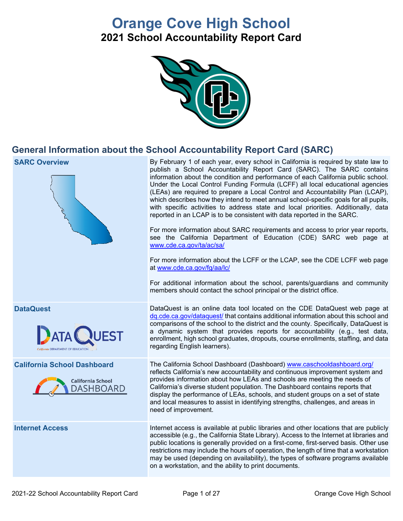# **Orange Cove High School**

**2021 School Accountability Report Card**



## **General Information about the School Accountability Report Card (SARC)**

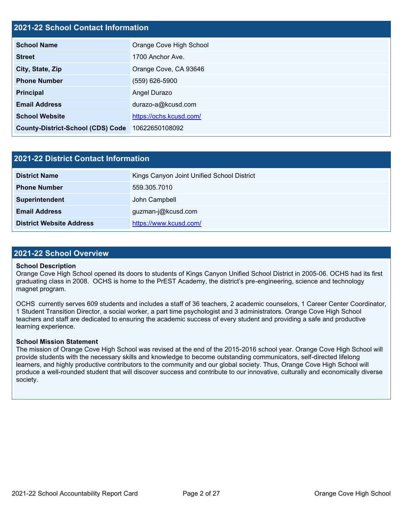## **2021-22 School Contact Information**

| <b>School Name</b>                       | Orange Cove High School |
|------------------------------------------|-------------------------|
| <b>Street</b>                            | 1700 Anchor Ave.        |
| City, State, Zip                         | Orange Cove, CA 93646   |
| <b>Phone Number</b>                      | (559) 626-5900          |
| <b>Principal</b>                         | Angel Durazo            |
| <b>Email Address</b>                     | durazo-a@kcusd.com      |
| <b>School Website</b>                    | https://ochs.kcusd.com/ |
| <b>County-District-School (CDS) Code</b> | 10622650108092          |

| <b>2021-22 District Contact Information</b> |                                            |  |
|---------------------------------------------|--------------------------------------------|--|
| <b>District Name</b>                        | Kings Canyon Joint Unified School District |  |
| <b>Phone Number</b>                         | 559.305.7010                               |  |
| Superintendent                              | John Campbell                              |  |
| <b>Email Address</b>                        | guzman-j@kcusd.com                         |  |
| <b>District Website Address</b>             | https://www.kcusd.com/                     |  |

### **2021-22 School Overview**

#### **School Description**

Orange Cove High School opened its doors to students of Kings Canyon Unified School District in 2005-06. OCHS had its first graduating class in 2008. OCHS is home to the PrEST Academy, the district's pre-engineering, science and technology magnet program.

OCHS currently serves 609 students and includes a staff of 36 teachers, 2 academic counselors, 1 Career Center Coordinator, 1 Student Transition Director, a social worker, a part time psychologist and 3 administrators. Orange Cove High School teachers and staff are dedicated to ensuring the academic success of every student and providing a safe and productive learning experience.

#### **School Mission Statement**

The mission of Orange Cove High School was revised at the end of the 2015-2016 school year. Orange Cove High School will provide students with the necessary skills and knowledge to become outstanding communicators, self-directed lifelong learners, and highly productive contributors to the community and our global society. Thus, Orange Cove High School will produce a well-rounded student that will discover success and contribute to our innovative, culturally and economically diverse society.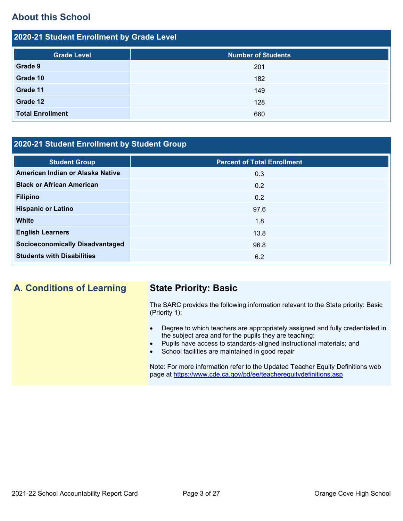## **About this School**

| 2020-21 Student Enrollment by Grade Level |                           |  |  |
|-------------------------------------------|---------------------------|--|--|
| <b>Grade Level</b>                        | <b>Number of Students</b> |  |  |
| Grade 9                                   | 201                       |  |  |
| Grade 10                                  | 182                       |  |  |
| Grade 11                                  | 149                       |  |  |
| Grade 12                                  | 128                       |  |  |
| <b>Total Enrollment</b>                   | 660                       |  |  |

## **2020-21 Student Enrollment by Student Group**

| <b>Student Group</b>                   | <b>Percent of Total Enrollment</b> |
|----------------------------------------|------------------------------------|
| American Indian or Alaska Native       | 0.3                                |
| <b>Black or African American</b>       | 0.2                                |
| <b>Filipino</b>                        | 0.2                                |
| <b>Hispanic or Latino</b>              | 97.6                               |
| <b>White</b>                           | 1.8                                |
| <b>English Learners</b>                | 13.8                               |
| <b>Socioeconomically Disadvantaged</b> | 96.8                               |
| <b>Students with Disabilities</b>      | 6.2                                |

## **A. Conditions of Learning State Priority: Basic**

The SARC provides the following information relevant to the State priority: Basic (Priority 1):

- Degree to which teachers are appropriately assigned and fully credentialed in the subject area and for the pupils they are teaching;
- Pupils have access to standards-aligned instructional materials; and
- School facilities are maintained in good repair

Note: For more information refer to the Updated Teacher Equity Definitions web page at<https://www.cde.ca.gov/pd/ee/teacherequitydefinitions.asp>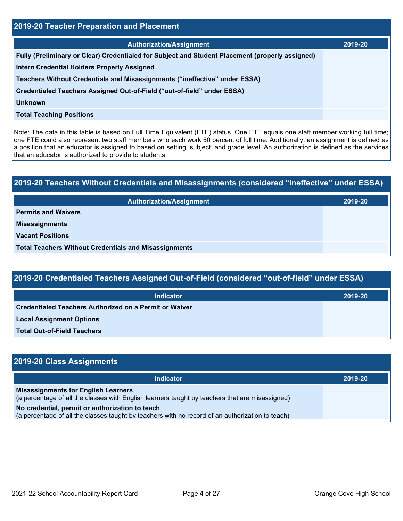| 2019-20 Teacher Preparation and Placement                                                       |         |  |
|-------------------------------------------------------------------------------------------------|---------|--|
| <b>Authorization/Assignment</b>                                                                 | 2019-20 |  |
| Fully (Preliminary or Clear) Credentialed for Subject and Student Placement (properly assigned) |         |  |
| <b>Intern Credential Holders Properly Assigned</b>                                              |         |  |
| Teachers Without Credentials and Misassignments ("ineffective" under ESSA)                      |         |  |
| Credentialed Teachers Assigned Out-of-Field ("out-of-field" under ESSA)                         |         |  |
| Unknown                                                                                         |         |  |
| <b>Total Teaching Positions</b>                                                                 |         |  |

Note: The data in this table is based on Full Time Equivalent (FTE) status. One FTE equals one staff member working full time; one FTE could also represent two staff members who each work 50 percent of full time. Additionally, an assignment is defined as a position that an educator is assigned to based on setting, subject, and grade level. An authorization is defined as the services that an educator is authorized to provide to students.

# **2019-20 Teachers Without Credentials and Misassignments (considered "ineffective" under ESSA) Authorization/Assignment 2019-20 Permits and Waivers Misassignments Vacant Positions Total Teachers Without Credentials and Misassignments**

| 2019-20 Credentialed Teachers Assigned Out-of-Field (considered "out-of-field" under ESSA) |         |  |
|--------------------------------------------------------------------------------------------|---------|--|
| <b>Indicator</b>                                                                           | 2019-20 |  |
| <b>Credentialed Teachers Authorized on a Permit or Waiver</b>                              |         |  |
| <b>Local Assignment Options</b>                                                            |         |  |

**Total Out-of-Field Teachers**

| 2019-20 Class Assignments                                                                                                                           |         |
|-----------------------------------------------------------------------------------------------------------------------------------------------------|---------|
| <b>Indicator</b>                                                                                                                                    | 2019-20 |
| <b>Misassignments for English Learners</b><br>(a percentage of all the classes with English learners taught by teachers that are misassigned)       |         |
| No credential, permit or authorization to teach<br>(a percentage of all the classes taught by teachers with no record of an authorization to teach) |         |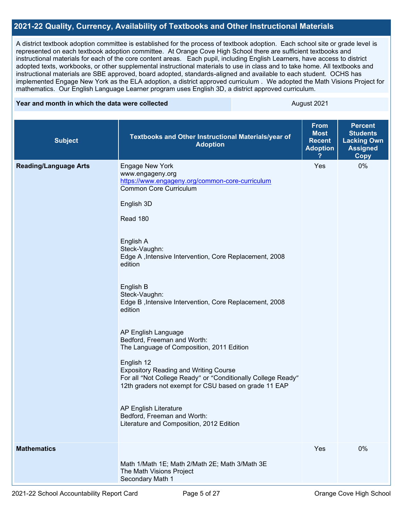## **2021-22 Quality, Currency, Availability of Textbooks and Other Instructional Materials**

A district textbook adoption committee is established for the process of textbook adoption. Each school site or grade level is represented on each textbook adoption committee. At Orange Cove High School there are sufficient textbooks and instructional materials for each of the core content areas. Each pupil, including English Learners, have access to district adopted texts, workbooks, or other supplemental instructional materials to use in class and to take home. All textbooks and instructional materials are SBE approved, board adopted, standards-aligned and available to each student. OCHS has implemented Engage New York as the ELA adoption, a district approved curriculum . We adopted the Math Visions Project for mathematics. Our English Language Learner program uses English 3D, a district approved curriculum.

#### **Year and month in which the data were collected** August 2021

| <b>Subject</b>               | Textbooks and Other Instructional Materials/year of<br><b>Adoption</b>                                                                                                                                                                                                                                                                                                                                                                                                                                                                                                                                                                                                                                                                                        | <b>From</b><br><b>Most</b><br><b>Recent</b><br><b>Adoption</b> | <b>Percent</b><br><b>Students</b><br><b>Lacking Own</b><br><b>Assigned</b><br><b>Copy</b> |
|------------------------------|---------------------------------------------------------------------------------------------------------------------------------------------------------------------------------------------------------------------------------------------------------------------------------------------------------------------------------------------------------------------------------------------------------------------------------------------------------------------------------------------------------------------------------------------------------------------------------------------------------------------------------------------------------------------------------------------------------------------------------------------------------------|----------------------------------------------------------------|-------------------------------------------------------------------------------------------|
| <b>Reading/Language Arts</b> | <b>Engage New York</b><br>www.engageny.org<br>https://www.engageny.org/common-core-curriculum<br><b>Common Core Curriculum</b><br>English 3D<br>Read 180<br>English A<br>Steck-Vaughn:<br>Edge A , Intensive Intervention, Core Replacement, 2008<br>edition<br>English B<br>Steck-Vaughn:<br>Edge B, Intensive Intervention, Core Replacement, 2008<br>edition<br>AP English Language<br>Bedford, Freeman and Worth:<br>The Language of Composition, 2011 Edition<br>English 12<br><b>Expository Reading and Writing Course</b><br>For all "Not College Ready" or "Conditionally College Ready"<br>12th graders not exempt for CSU based on grade 11 EAP<br>AP English Literature<br>Bedford, Freeman and Worth:<br>Literature and Composition, 2012 Edition | Yes                                                            | 0%                                                                                        |
| <b>Mathematics</b>           | Math 1/Math 1E; Math 2/Math 2E; Math 3/Math 3E<br>The Math Visions Project<br>Secondary Math 1                                                                                                                                                                                                                                                                                                                                                                                                                                                                                                                                                                                                                                                                | Yes                                                            | 0%                                                                                        |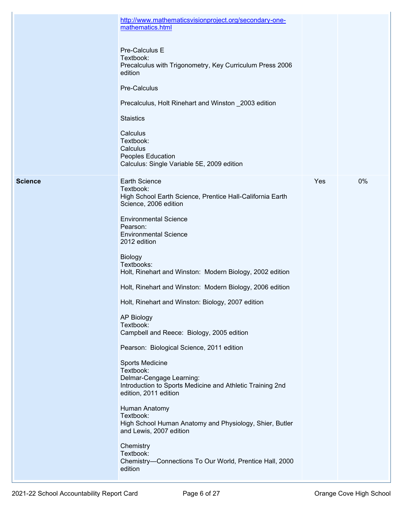|                | http://www.mathematicsvisionproject.org/secondary-one-<br>mathematics.html                                                                     |     |    |
|----------------|------------------------------------------------------------------------------------------------------------------------------------------------|-----|----|
|                | Pre-Calculus E<br>Textbook:<br>Precalculus with Trigonometry, Key Curriculum Press 2006<br>edition                                             |     |    |
|                | Pre-Calculus                                                                                                                                   |     |    |
|                | Precalculus, Holt Rinehart and Winston _2003 edition                                                                                           |     |    |
|                | <b>Staistics</b>                                                                                                                               |     |    |
|                | Calculus<br>Textbook:<br>Calculus<br>Peoples Education<br>Calculus: Single Variable 5E, 2009 edition                                           |     |    |
| <b>Science</b> | <b>Earth Science</b><br>Textbook:<br>High School Earth Science, Prentice Hall-California Earth<br>Science, 2006 edition                        | Yes | 0% |
|                | <b>Environmental Science</b><br>Pearson:<br><b>Environmental Science</b><br>2012 edition                                                       |     |    |
|                | <b>Biology</b><br>Textbooks:<br>Holt, Rinehart and Winston: Modern Biology, 2002 edition                                                       |     |    |
|                | Holt, Rinehart and Winston: Modern Biology, 2006 edition                                                                                       |     |    |
|                | Holt, Rinehart and Winston: Biology, 2007 edition                                                                                              |     |    |
|                | <b>AP Biology</b><br>Textbook:<br>Campbell and Reece: Biology, 2005 edition                                                                    |     |    |
|                | Pearson: Biological Science, 2011 edition                                                                                                      |     |    |
|                | Sports Medicine<br>Textbook:<br>Delmar-Cengage Learning:<br>Introduction to Sports Medicine and Athletic Training 2nd<br>edition, 2011 edition |     |    |
|                | Human Anatomy<br>Textbook:<br>High School Human Anatomy and Physiology, Shier, Butler<br>and Lewis, 2007 edition                               |     |    |
|                | Chemistry<br>Textbook:<br>Chemistry-Connections To Our World, Prentice Hall, 2000<br>edition                                                   |     |    |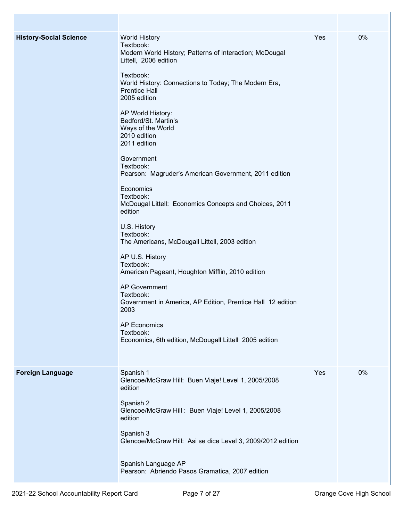| <b>History-Social Science</b> | <b>World History</b><br>Textbook:<br>Modern World History; Patterns of Interaction; McDougal<br>Littell, 2006 edition<br>Textbook:<br>World History: Connections to Today; The Modern Era,<br><b>Prentice Hall</b><br>2005 edition<br>AP World History:<br>Bedford/St. Martin's<br>Ways of the World<br>2010 edition<br>2011 edition<br>Government<br>Textbook:<br>Pearson: Magruder's American Government, 2011 edition<br>Economics<br>Textbook:<br>McDougal Littell: Economics Concepts and Choices, 2011<br>edition<br>U.S. History<br>Textbook:<br>The Americans, McDougall Littell, 2003 edition<br>AP U.S. History<br>Textbook:<br>American Pageant, Houghton Mifflin, 2010 edition<br><b>AP Government</b><br>Textbook:<br>Government in America, AP Edition, Prentice Hall 12 edition<br>2003<br><b>AP Economics</b><br>Textbook:<br>Economics, 6th edition, McDougall Littell 2005 edition | Yes | 0% |
|-------------------------------|------------------------------------------------------------------------------------------------------------------------------------------------------------------------------------------------------------------------------------------------------------------------------------------------------------------------------------------------------------------------------------------------------------------------------------------------------------------------------------------------------------------------------------------------------------------------------------------------------------------------------------------------------------------------------------------------------------------------------------------------------------------------------------------------------------------------------------------------------------------------------------------------------|-----|----|
| <b>Foreign Language</b>       | Spanish 1<br>Glencoe/McGraw Hill: Buen Viaje! Level 1, 2005/2008<br>edition<br>Spanish 2<br>Glencoe/McGraw Hill: Buen Viaje! Level 1, 2005/2008<br>edition<br>Spanish 3<br>Glencoe/McGraw Hill: Asi se dice Level 3, 2009/2012 edition<br>Spanish Language AP<br>Pearson: Abriendo Pasos Gramatica, 2007 edition                                                                                                                                                                                                                                                                                                                                                                                                                                                                                                                                                                                     | Yes | 0% |

 $\mathbb{R}$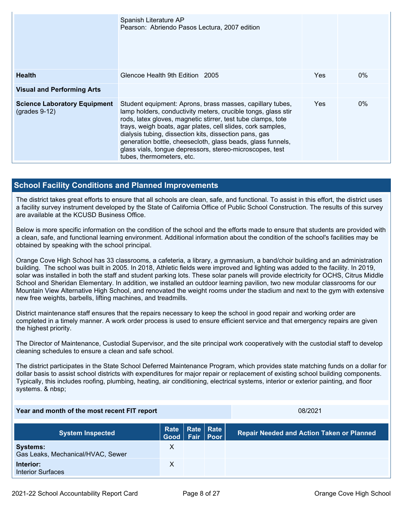|                                                        | Spanish Literature AP<br>Pearson: Abriendo Pasos Lectura, 2007 edition                                                                                                                                                                                                                                                                                                                                                                                                      |     |       |
|--------------------------------------------------------|-----------------------------------------------------------------------------------------------------------------------------------------------------------------------------------------------------------------------------------------------------------------------------------------------------------------------------------------------------------------------------------------------------------------------------------------------------------------------------|-----|-------|
| <b>Health</b>                                          | Glencoe Health 9th Edition 2005                                                                                                                                                                                                                                                                                                                                                                                                                                             | Yes | $0\%$ |
| <b>Visual and Performing Arts</b>                      |                                                                                                                                                                                                                                                                                                                                                                                                                                                                             |     |       |
| <b>Science Laboratory Equipment</b><br>$(grades 9-12)$ | Student equipment: Aprons, brass masses, capillary tubes,<br>lamp holders, conductivity meters, crucible tongs, glass stir<br>rods, latex gloves, magnetic stirrer, test tube clamps, tote<br>trays, weigh boats, agar plates, cell slides, cork samples,<br>dialysis tubing, dissection kits, dissection pans, gas<br>generation bottle, cheesecloth, glass beads, glass funnels,<br>glass vials, tongue depressors, stereo-microscopes, test<br>tubes, thermometers, etc. | Yes | $0\%$ |

## **School Facility Conditions and Planned Improvements**

The district takes great efforts to ensure that all schools are clean, safe, and functional. To assist in this effort, the district uses a facility survey instrument developed by the State of California Office of Public School Construction. The results of this survey are available at the KCUSD Business Office.

Below is more specific information on the condition of the school and the efforts made to ensure that students are provided with a clean, safe, and functional learning environment. Additional information about the condition of the school's facilities may be obtained by speaking with the school principal.

Orange Cove High School has 33 classrooms, a cafeteria, a library, a gymnasium, a band/choir building and an administration building. The school was built in 2005. In 2018, Athletic fields were improved and lighting was added to the facility. In 2019, solar was installed in both the staff and student parking lots. These solar panels will provide electricity for OCHS, Citrus Middle School and Sheridan Elementary. In addition, we installed an outdoor learning pavilion, two new modular classrooms for our Mountain View Alternative High School, and renovated the weight rooms under the stadium and next to the gym with extensive new free weights, barbells, lifting machines, and treadmills.

District maintenance staff ensures that the repairs necessary to keep the school in good repair and working order are completed in a timely manner. A work order process is used to ensure efficient service and that emergency repairs are given the highest priority.

The Director of Maintenance, Custodial Supervisor, and the site principal work cooperatively with the custodial staff to develop cleaning schedules to ensure a clean and safe school.

The district participates in the State School Deferred Maintenance Program, which provides state matching funds on a dollar for dollar basis to assist school districts with expenditures for major repair or replacement of existing school building components. Typically, this includes roofing, plumbing, heating, air conditioning, electrical systems, interior or exterior painting, and floor systems. & nbsp;

### **Year and month of the most recent FIT report** 08/2021

| <b>System Inspected</b>                              | Rate Rate Rate<br>Good   Fair   Poor |  | <b>Repair Needed and Action Taken or Planned</b> |
|------------------------------------------------------|--------------------------------------|--|--------------------------------------------------|
| <b>Systems:</b><br>Gas Leaks, Mechanical/HVAC, Sewer |                                      |  |                                                  |
| Interior:<br><b>Interior Surfaces</b>                |                                      |  |                                                  |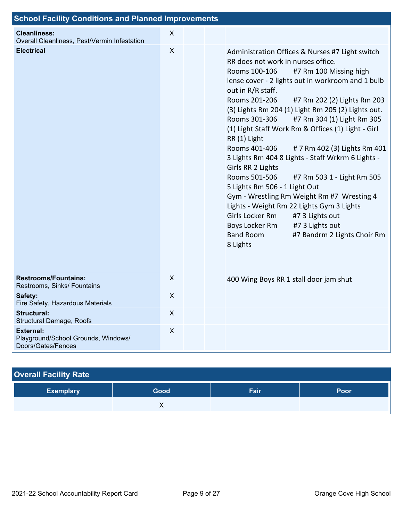| <b>School Facility Conditions and Planned Improvements</b>                    |                           |                                                                                                                                                                                                                                                                                                                                                                                                                                                                                                                                                                                                                                                                                                                                                                                                                                                                                       |  |
|-------------------------------------------------------------------------------|---------------------------|---------------------------------------------------------------------------------------------------------------------------------------------------------------------------------------------------------------------------------------------------------------------------------------------------------------------------------------------------------------------------------------------------------------------------------------------------------------------------------------------------------------------------------------------------------------------------------------------------------------------------------------------------------------------------------------------------------------------------------------------------------------------------------------------------------------------------------------------------------------------------------------|--|
| <b>Cleanliness:</b><br>Overall Cleanliness, Pest/Vermin Infestation           | $\mathsf{X}$              |                                                                                                                                                                                                                                                                                                                                                                                                                                                                                                                                                                                                                                                                                                                                                                                                                                                                                       |  |
| <b>Electrical</b>                                                             | $\boldsymbol{\mathsf{X}}$ | Administration Offices & Nurses #7 Light switch<br>RR does not work in nurses office.<br>#7 Rm 100 Missing high<br>Rooms 100-106<br>lense cover - 2 lights out in workroom and 1 bulb<br>out in R/R staff.<br>Rooms 201-206<br>#7 Rm 202 (2) Lights Rm 203<br>(3) Lights Rm 204 (1) Light Rm 205 (2) Lights out.<br>Rooms 301-306<br>#7 Rm 304 (1) Light Rm 305<br>(1) Light Staff Work Rm & Offices (1) Light - Girl<br>RR (1) Light<br>Rooms 401-406<br># 7 Rm 402 (3) Lights Rm 401<br>3 Lights Rm 404 8 Lights - Staff Wrkrm 6 Lights -<br>Girls RR 2 Lights<br>Rooms 501-506<br>#7 Rm 503 1 - Light Rm 505<br>5 Lights Rm 506 - 1 Light Out<br>Gym - Wrestling Rm Weight Rm #7 Wresting 4<br>Lights - Weight Rm 22 Lights Gym 3 Lights<br>Girls Locker Rm<br>#7 3 Lights out<br>#7 3 Lights out<br>Boys Locker Rm<br><b>Band Room</b><br>#7 Bandrm 2 Lights Choir Rm<br>8 Lights |  |
| <b>Restrooms/Fountains:</b><br>Restrooms, Sinks/ Fountains                    | $\mathsf{X}$              | 400 Wing Boys RR 1 stall door jam shut                                                                                                                                                                                                                                                                                                                                                                                                                                                                                                                                                                                                                                                                                                                                                                                                                                                |  |
| Safety:<br>Fire Safety, Hazardous Materials                                   | X                         |                                                                                                                                                                                                                                                                                                                                                                                                                                                                                                                                                                                                                                                                                                                                                                                                                                                                                       |  |
| <b>Structural:</b><br>Structural Damage, Roofs                                | $\boldsymbol{X}$          |                                                                                                                                                                                                                                                                                                                                                                                                                                                                                                                                                                                                                                                                                                                                                                                                                                                                                       |  |
| <b>External:</b><br>Playground/School Grounds, Windows/<br>Doors/Gates/Fences | $\pmb{\times}$            |                                                                                                                                                                                                                                                                                                                                                                                                                                                                                                                                                                                                                                                                                                                                                                                                                                                                                       |  |

| <b>Overall Facility Rate</b> |      |      |      |
|------------------------------|------|------|------|
| <b>Exemplary</b>             | Good | Fair | Poor |
|                              |      |      |      |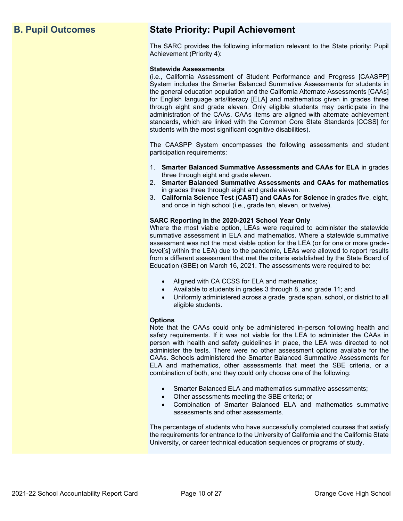## **B. Pupil Outcomes State Priority: Pupil Achievement**

The SARC provides the following information relevant to the State priority: Pupil Achievement (Priority 4):

#### **Statewide Assessments**

(i.e., California Assessment of Student Performance and Progress [CAASPP] System includes the Smarter Balanced Summative Assessments for students in the general education population and the California Alternate Assessments [CAAs] for English language arts/literacy [ELA] and mathematics given in grades three through eight and grade eleven. Only eligible students may participate in the administration of the CAAs. CAAs items are aligned with alternate achievement standards, which are linked with the Common Core State Standards [CCSS] for students with the most significant cognitive disabilities).

The CAASPP System encompasses the following assessments and student participation requirements:

- 1. **Smarter Balanced Summative Assessments and CAAs for ELA** in grades three through eight and grade eleven.
- 2. **Smarter Balanced Summative Assessments and CAAs for mathematics** in grades three through eight and grade eleven.
- 3. **California Science Test (CAST) and CAAs for Science** in grades five, eight, and once in high school (i.e., grade ten, eleven, or twelve).

#### **SARC Reporting in the 2020-2021 School Year Only**

Where the most viable option, LEAs were required to administer the statewide summative assessment in ELA and mathematics. Where a statewide summative assessment was not the most viable option for the LEA (or for one or more gradelevel[s] within the LEA) due to the pandemic, LEAs were allowed to report results from a different assessment that met the criteria established by the State Board of Education (SBE) on March 16, 2021. The assessments were required to be:

- Aligned with CA CCSS for ELA and mathematics;
- Available to students in grades 3 through 8, and grade 11; and
- Uniformly administered across a grade, grade span, school, or district to all eligible students.

#### **Options**

Note that the CAAs could only be administered in-person following health and safety requirements. If it was not viable for the LEA to administer the CAAs in person with health and safety guidelines in place, the LEA was directed to not administer the tests. There were no other assessment options available for the CAAs. Schools administered the Smarter Balanced Summative Assessments for ELA and mathematics, other assessments that meet the SBE criteria, or a combination of both, and they could only choose one of the following:

- Smarter Balanced ELA and mathematics summative assessments;
- Other assessments meeting the SBE criteria; or
- Combination of Smarter Balanced ELA and mathematics summative assessments and other assessments.

The percentage of students who have successfully completed courses that satisfy the requirements for entrance to the University of California and the California State University, or career technical education sequences or programs of study.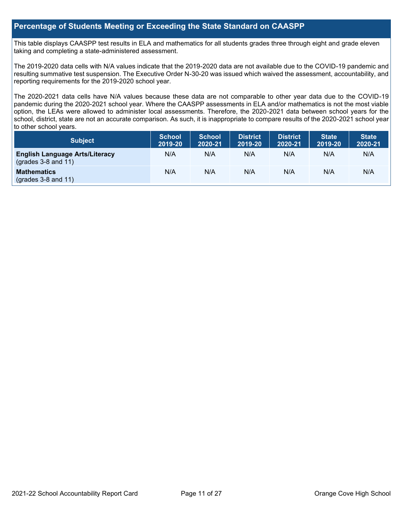## **Percentage of Students Meeting or Exceeding the State Standard on CAASPP**

This table displays CAASPP test results in ELA and mathematics for all students grades three through eight and grade eleven taking and completing a state-administered assessment.

The 2019-2020 data cells with N/A values indicate that the 2019-2020 data are not available due to the COVID-19 pandemic and resulting summative test suspension. The Executive Order N-30-20 was issued which waived the assessment, accountability, and reporting requirements for the 2019-2020 school year.

The 2020-2021 data cells have N/A values because these data are not comparable to other year data due to the COVID-19 pandemic during the 2020-2021 school year. Where the CAASPP assessments in ELA and/or mathematics is not the most viable option, the LEAs were allowed to administer local assessments. Therefore, the 2020-2021 data between school years for the school, district, state are not an accurate comparison. As such, it is inappropriate to compare results of the 2020-2021 school year to other school years.

| Subject                                                        | <b>School</b><br>2019-20 | <b>School</b><br>2020-21 | <b>District</b><br>2019-20 | <b>District</b><br>2020-21 | <b>State</b><br>2019-20 | <b>State</b><br>2020-21 |
|----------------------------------------------------------------|--------------------------|--------------------------|----------------------------|----------------------------|-------------------------|-------------------------|
| <b>English Language Arts/Literacy</b><br>$(grades 3-8 and 11)$ | N/A                      | N/A                      | N/A                        | N/A                        | N/A                     | N/A                     |
| <b>Mathematics</b><br>$(grades 3-8 and 11)$                    | N/A                      | N/A                      | N/A                        | N/A                        | N/A                     | N/A                     |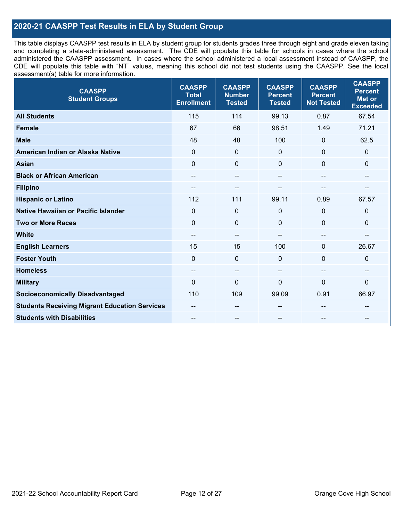## **2020-21 CAASPP Test Results in ELA by Student Group**

This table displays CAASPP test results in ELA by student group for students grades three through eight and grade eleven taking and completing a state-administered assessment. The CDE will populate this table for schools in cases where the school administered the CAASPP assessment. In cases where the school administered a local assessment instead of CAASPP, the CDE will populate this table with "NT" values, meaning this school did not test students using the CAASPP. See the local assessment(s) table for more information.

| <b>CAASPP</b><br><b>Student Groups</b>               | <b>CAASPP</b><br><b>Total</b><br><b>Enrollment</b> | <b>CAASPP</b><br><b>Number</b><br><b>Tested</b> | <b>CAASPP</b><br><b>Percent</b><br><b>Tested</b> | <b>CAASPP</b><br><b>Percent</b><br><b>Not Tested</b> | <b>CAASPP</b><br><b>Percent</b><br><b>Met or</b><br><b>Exceeded</b> |
|------------------------------------------------------|----------------------------------------------------|-------------------------------------------------|--------------------------------------------------|------------------------------------------------------|---------------------------------------------------------------------|
| <b>All Students</b>                                  | 115                                                | 114                                             | 99.13                                            | 0.87                                                 | 67.54                                                               |
| <b>Female</b>                                        | 67                                                 | 66                                              | 98.51                                            | 1.49                                                 | 71.21                                                               |
| <b>Male</b>                                          | 48                                                 | 48                                              | 100                                              | $\mathbf 0$                                          | 62.5                                                                |
| American Indian or Alaska Native                     | $\mathbf 0$                                        | $\pmb{0}$                                       | $\mathbf 0$                                      | $\overline{0}$                                       | 0                                                                   |
| <b>Asian</b>                                         | $\mathbf 0$                                        | $\pmb{0}$                                       | $\Omega$                                         | $\mathbf 0$                                          | 0                                                                   |
| <b>Black or African American</b>                     | $\overline{\phantom{a}}$                           | $\overline{\phantom{m}}$                        | --                                               | $\overline{\phantom{a}}$                             | --                                                                  |
| <b>Filipino</b>                                      | --                                                 | $\sim$ $\sim$                                   |                                                  |                                                      |                                                                     |
| <b>Hispanic or Latino</b>                            | 112                                                | 111                                             | 99.11                                            | 0.89                                                 | 67.57                                                               |
| Native Hawaiian or Pacific Islander                  | $\mathbf 0$                                        | $\mathbf 0$                                     | 0                                                | $\mathbf 0$                                          | $\mathbf 0$                                                         |
| <b>Two or More Races</b>                             | $\mathbf 0$                                        | $\mathbf 0$                                     | $\mathbf{0}$                                     | $\mathbf 0$                                          | 0                                                                   |
| <b>White</b>                                         | $\overline{\phantom{a}}$                           | $\overline{\phantom{m}}$                        |                                                  | $\overline{\phantom{a}}$                             | $-$                                                                 |
| <b>English Learners</b>                              | 15                                                 | 15                                              | 100                                              | $\Omega$                                             | 26.67                                                               |
| <b>Foster Youth</b>                                  | 0                                                  | $\mathbf 0$                                     | $\mathbf 0$                                      | $\Omega$                                             | 0                                                                   |
| <b>Homeless</b>                                      | --                                                 | $\sim$                                          | --                                               | --                                                   | --                                                                  |
| <b>Military</b>                                      | $\Omega$                                           | $\mathbf 0$                                     | $\Omega$                                         | $\mathbf{0}$                                         | 0                                                                   |
| <b>Socioeconomically Disadvantaged</b>               | 110                                                | 109                                             | 99.09                                            | 0.91                                                 | 66.97                                                               |
| <b>Students Receiving Migrant Education Services</b> |                                                    | --                                              |                                                  |                                                      |                                                                     |
| <b>Students with Disabilities</b>                    | --                                                 | --                                              | --                                               | --                                                   | --                                                                  |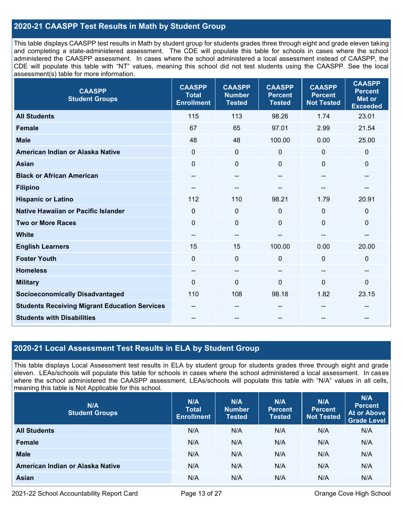## **2020-21 CAASPP Test Results in Math by Student Group**

This table displays CAASPP test results in Math by student group for students grades three through eight and grade eleven taking and completing a state-administered assessment. The CDE will populate this table for schools in cases where the school administered the CAASPP assessment. In cases where the school administered a local assessment instead of CAASPP, the CDE will populate this table with "NT" values, meaning this school did not test students using the CAASPP. See the local assessment(s) table for more information.

| <b>CAASPP</b><br><b>Student Groups</b>               | <b>CAASPP</b><br><b>Total</b><br><b>Enrollment</b> | <b>CAASPP</b><br><b>Number</b><br><b>Tested</b> | <b>CAASPP</b><br><b>Percent</b><br><b>Tested</b> | <b>CAASPP</b><br><b>Percent</b><br><b>Not Tested</b> | <b>CAASPP</b><br><b>Percent</b><br><b>Met or</b><br><b>Exceeded</b> |
|------------------------------------------------------|----------------------------------------------------|-------------------------------------------------|--------------------------------------------------|------------------------------------------------------|---------------------------------------------------------------------|
| <b>All Students</b>                                  | 115                                                | 113                                             | 98.26                                            | 1.74                                                 | 23.01                                                               |
| <b>Female</b>                                        | 67                                                 | 65                                              | 97.01                                            | 2.99                                                 | 21.54                                                               |
| <b>Male</b>                                          | 48                                                 | 48                                              | 100.00                                           | 0.00                                                 | 25.00                                                               |
| American Indian or Alaska Native                     | $\mathbf 0$                                        | $\pmb{0}$                                       | $\mathbf 0$                                      | $\mathbf 0$                                          | $\mathbf 0$                                                         |
| <b>Asian</b>                                         | $\mathbf 0$                                        | 0                                               | $\Omega$                                         | $\Omega$                                             | $\mathbf 0$                                                         |
| <b>Black or African American</b>                     | $\qquad \qquad -$                                  | --                                              | --                                               | $\overline{\phantom{a}}$                             | $\overline{\phantom{a}}$                                            |
| <b>Filipino</b>                                      |                                                    | --                                              |                                                  |                                                      |                                                                     |
| <b>Hispanic or Latino</b>                            | 112                                                | 110                                             | 98.21                                            | 1.79                                                 | 20.91                                                               |
| <b>Native Hawaiian or Pacific Islander</b>           | $\Omega$                                           | $\mathbf 0$                                     | $\mathbf 0$                                      | 0                                                    | $\mathbf 0$                                                         |
| <b>Two or More Races</b>                             | $\mathbf 0$                                        | 0                                               | $\mathbf 0$                                      | 0                                                    | $\mathbf 0$                                                         |
| <b>White</b>                                         | $\qquad \qquad -$                                  | $\mathbf{u}$                                    | --                                               | $\overline{a}$                                       | $\hspace{0.05cm}$ – $\hspace{0.05cm}$                               |
| <b>English Learners</b>                              | 15                                                 | 15                                              | 100.00                                           | 0.00                                                 | 20.00                                                               |
| <b>Foster Youth</b>                                  | $\mathbf 0$                                        | $\mathbf 0$                                     | $\mathbf 0$                                      | $\Omega$                                             | $\mathbf 0$                                                         |
| <b>Homeless</b>                                      | --                                                 | --                                              | $\sim$                                           | $\sim$                                               | $\overline{\phantom{a}}$                                            |
| <b>Military</b>                                      | $\mathbf 0$                                        | 0                                               | $\mathbf 0$                                      | $\mathbf{0}$                                         | $\mathbf 0$                                                         |
| <b>Socioeconomically Disadvantaged</b>               | 110                                                | 108                                             | 98.18                                            | 1.82                                                 | 23.15                                                               |
| <b>Students Receiving Migrant Education Services</b> |                                                    | --                                              | --                                               | --                                                   |                                                                     |
| <b>Students with Disabilities</b>                    |                                                    |                                                 |                                                  |                                                      |                                                                     |

## **2020-21 Local Assessment Test Results in ELA by Student Group**

This table displays Local Assessment test results in ELA by student group for students grades three through eight and grade eleven. LEAs/schools will populate this table for schools in cases where the school administered a local assessment. In cases where the school administered the CAASPP assessment, LEAs/schools will populate this table with "N/A" values in all cells, meaning this table is Not Applicable for this school.

| N/A<br><b>Student Groups</b>     | N/A<br><b>Total</b><br><b>Enrollment</b> | N/A<br><b>Number</b><br><b>Tested</b> | N/A<br><b>Percent</b><br><b>Tested</b> | N/A<br>Percent<br><b>Not Tested</b> | N/A<br><b>Percent</b><br><b>At or Above</b><br><b>Grade Level</b> |
|----------------------------------|------------------------------------------|---------------------------------------|----------------------------------------|-------------------------------------|-------------------------------------------------------------------|
| <b>All Students</b>              | N/A                                      | N/A                                   | N/A                                    | N/A                                 | N/A                                                               |
| Female                           | N/A                                      | N/A                                   | N/A                                    | N/A                                 | N/A                                                               |
| <b>Male</b>                      | N/A                                      | N/A                                   | N/A                                    | N/A                                 | N/A                                                               |
| American Indian or Alaska Native | N/A                                      | N/A                                   | N/A                                    | N/A                                 | N/A                                                               |
| <b>Asian</b>                     | N/A                                      | N/A                                   | N/A                                    | N/A                                 | N/A                                                               |

2021-22 School Accountability Report Card **Page 13 of 27** Page 13 of 27 Crange Cove High School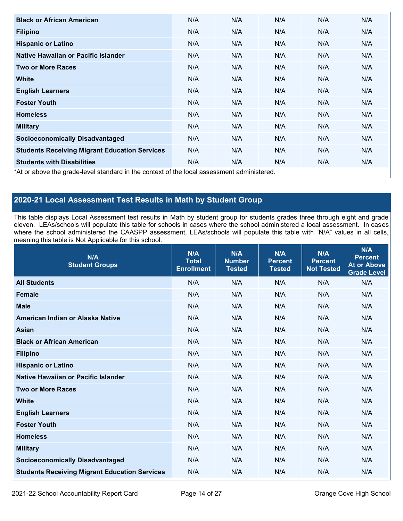| <b>Black or African American</b>                                                          | N/A | N/A | N/A | N/A | N/A |  |  |  |
|-------------------------------------------------------------------------------------------|-----|-----|-----|-----|-----|--|--|--|
| <b>Filipino</b>                                                                           | N/A | N/A | N/A | N/A | N/A |  |  |  |
| <b>Hispanic or Latino</b>                                                                 | N/A | N/A | N/A | N/A | N/A |  |  |  |
| Native Hawaiian or Pacific Islander                                                       | N/A | N/A | N/A | N/A | N/A |  |  |  |
| <b>Two or More Races</b>                                                                  | N/A | N/A | N/A | N/A | N/A |  |  |  |
| White                                                                                     | N/A | N/A | N/A | N/A | N/A |  |  |  |
| <b>English Learners</b>                                                                   | N/A | N/A | N/A | N/A | N/A |  |  |  |
| <b>Foster Youth</b>                                                                       | N/A | N/A | N/A | N/A | N/A |  |  |  |
| <b>Homeless</b>                                                                           | N/A | N/A | N/A | N/A | N/A |  |  |  |
| <b>Military</b>                                                                           | N/A | N/A | N/A | N/A | N/A |  |  |  |
| <b>Socioeconomically Disadvantaged</b>                                                    | N/A | N/A | N/A | N/A | N/A |  |  |  |
| <b>Students Receiving Migrant Education Services</b>                                      | N/A | N/A | N/A | N/A | N/A |  |  |  |
| <b>Students with Disabilities</b>                                                         | N/A | N/A | N/A | N/A | N/A |  |  |  |
| *At or above the grade-level standard in the context of the local assessment administered |     |     |     |     |     |  |  |  |

\*At or above the grade-level standard in the context of the local assessment administered.

## **2020-21 Local Assessment Test Results in Math by Student Group**

This table displays Local Assessment test results in Math by student group for students grades three through eight and grade eleven. LEAs/schools will populate this table for schools in cases where the school administered a local assessment. In cases where the school administered the CAASPP assessment, LEAs/schools will populate this table with "N/A" values in all cells, meaning this table is Not Applicable for this school.

| N/A<br><b>Student Groups</b>                         | N/A<br><b>Total</b><br><b>Enrollment</b> | N/A<br><b>Number</b><br><b>Tested</b> | N/A<br><b>Percent</b><br><b>Tested</b> | N/A<br><b>Percent</b><br><b>Not Tested</b> | N/A<br><b>Percent</b><br><b>At or Above</b><br><b>Grade Level</b> |
|------------------------------------------------------|------------------------------------------|---------------------------------------|----------------------------------------|--------------------------------------------|-------------------------------------------------------------------|
| <b>All Students</b>                                  | N/A                                      | N/A                                   | N/A                                    | N/A                                        | N/A                                                               |
| <b>Female</b>                                        | N/A                                      | N/A                                   | N/A                                    | N/A                                        | N/A                                                               |
| <b>Male</b>                                          | N/A                                      | N/A                                   | N/A                                    | N/A                                        | N/A                                                               |
| American Indian or Alaska Native                     | N/A                                      | N/A                                   | N/A                                    | N/A                                        | N/A                                                               |
| <b>Asian</b>                                         | N/A                                      | N/A                                   | N/A                                    | N/A                                        | N/A                                                               |
| <b>Black or African American</b>                     | N/A                                      | N/A                                   | N/A                                    | N/A                                        | N/A                                                               |
| <b>Filipino</b>                                      | N/A                                      | N/A                                   | N/A                                    | N/A                                        | N/A                                                               |
| <b>Hispanic or Latino</b>                            | N/A                                      | N/A                                   | N/A                                    | N/A                                        | N/A                                                               |
| Native Hawaiian or Pacific Islander                  | N/A                                      | N/A                                   | N/A                                    | N/A                                        | N/A                                                               |
| <b>Two or More Races</b>                             | N/A                                      | N/A                                   | N/A                                    | N/A                                        | N/A                                                               |
| <b>White</b>                                         | N/A                                      | N/A                                   | N/A                                    | N/A                                        | N/A                                                               |
| <b>English Learners</b>                              | N/A                                      | N/A                                   | N/A                                    | N/A                                        | N/A                                                               |
| <b>Foster Youth</b>                                  | N/A                                      | N/A                                   | N/A                                    | N/A                                        | N/A                                                               |
| <b>Homeless</b>                                      | N/A                                      | N/A                                   | N/A                                    | N/A                                        | N/A                                                               |
| <b>Military</b>                                      | N/A                                      | N/A                                   | N/A                                    | N/A                                        | N/A                                                               |
| <b>Socioeconomically Disadvantaged</b>               | N/A                                      | N/A                                   | N/A                                    | N/A                                        | N/A                                                               |
| <b>Students Receiving Migrant Education Services</b> | N/A                                      | N/A                                   | N/A                                    | N/A                                        | N/A                                                               |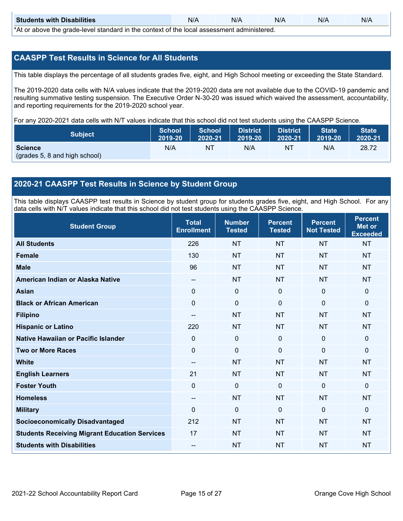| <b>Students with Disabilities</b>                                                           | N/A | N/A | N/A | N/A | N/A |  |
|---------------------------------------------------------------------------------------------|-----|-----|-----|-----|-----|--|
| *At as above the escale level standard in the context of the local accordinate admissioned. |     |     |     |     |     |  |

\*At or above the grade-level standard in the context of the local assessment administered.

## **CAASPP Test Results in Science for All Students**

This table displays the percentage of all students grades five, eight, and High School meeting or exceeding the State Standard.

The 2019-2020 data cells with N/A values indicate that the 2019-2020 data are not available due to the COVID-19 pandemic and resulting summative testing suspension. The Executive Order N-30-20 was issued which waived the assessment, accountability, and reporting requirements for the 2019-2020 school year.

For any 2020-2021 data cells with N/T values indicate that this school did not test students using the CAASPP Science.

| <b>Subject</b>                                  | <b>School</b> | <b>School</b> | <b>District</b> | District | <b>State</b> | <b>State</b> |
|-------------------------------------------------|---------------|---------------|-----------------|----------|--------------|--------------|
|                                                 | 2019-20       | 2020-21       | 2019-20         | 2020-21  | 2019-20      | 2020-21      |
| <b>Science</b><br>(grades 5, 8 and high school) | N/A           | ΝT            | N/A             | NT       | N/A          | 28.72        |

## **2020-21 CAASPP Test Results in Science by Student Group**

This table displays CAASPP test results in Science by student group for students grades five, eight, and High School. For any data cells with N/T values indicate that this school did not test students using the CAASPP Science.

| <b>Student Group</b>                                 | <b>Total</b><br><b>Enrollment</b>     | <b>Number</b><br><b>Tested</b> | <b>Percent</b><br><b>Tested</b> | <b>Percent</b><br><b>Not Tested</b> | <b>Percent</b><br><b>Met or</b><br><b>Exceeded</b> |
|------------------------------------------------------|---------------------------------------|--------------------------------|---------------------------------|-------------------------------------|----------------------------------------------------|
| <b>All Students</b>                                  | 226                                   | <b>NT</b>                      | <b>NT</b>                       | <b>NT</b>                           | <b>NT</b>                                          |
| <b>Female</b>                                        | 130                                   | <b>NT</b>                      | <b>NT</b>                       | <b>NT</b>                           | <b>NT</b>                                          |
| <b>Male</b>                                          | 96                                    | <b>NT</b>                      | <b>NT</b>                       | <b>NT</b>                           | <b>NT</b>                                          |
| American Indian or Alaska Native                     | $\hspace{0.05cm}$ – $\hspace{0.05cm}$ | <b>NT</b>                      | <b>NT</b>                       | <b>NT</b>                           | <b>NT</b>                                          |
| <b>Asian</b>                                         | $\mathbf 0$                           | $\pmb{0}$                      | $\mathbf 0$                     | $\mathbf 0$                         | $\mathbf{0}$                                       |
| <b>Black or African American</b>                     | $\mathbf 0$                           | $\mathbf 0$                    | $\mathbf 0$                     | $\mathbf 0$                         | $\mathbf 0$                                        |
| <b>Filipino</b>                                      | --                                    | <b>NT</b>                      | <b>NT</b>                       | <b>NT</b>                           | <b>NT</b>                                          |
| <b>Hispanic or Latino</b>                            | 220                                   | <b>NT</b>                      | <b>NT</b>                       | <b>NT</b>                           | <b>NT</b>                                          |
| <b>Native Hawaiian or Pacific Islander</b>           | 0                                     | $\mathbf 0$                    | $\mathbf 0$                     | $\Omega$                            | $\mathbf 0$                                        |
| <b>Two or More Races</b>                             | $\Omega$                              | $\mathbf 0$                    | $\mathbf{0}$                    | $\Omega$                            | $\mathbf{0}$                                       |
| <b>White</b>                                         | $\overline{\phantom{a}}$              | <b>NT</b>                      | <b>NT</b>                       | <b>NT</b>                           | <b>NT</b>                                          |
| <b>English Learners</b>                              | 21                                    | <b>NT</b>                      | <b>NT</b>                       | <b>NT</b>                           | <b>NT</b>                                          |
| <b>Foster Youth</b>                                  | $\mathbf 0$                           | $\mathbf 0$                    | $\mathbf 0$                     | $\mathbf 0$                         | $\mathbf{0}$                                       |
| <b>Homeless</b>                                      | $-$                                   | <b>NT</b>                      | <b>NT</b>                       | <b>NT</b>                           | <b>NT</b>                                          |
| <b>Military</b>                                      | $\Omega$                              | $\mathbf 0$                    | $\mathbf{0}$                    | $\mathbf 0$                         | $\mathbf{0}$                                       |
| <b>Socioeconomically Disadvantaged</b>               | 212                                   | <b>NT</b>                      | <b>NT</b>                       | <b>NT</b>                           | <b>NT</b>                                          |
| <b>Students Receiving Migrant Education Services</b> | 17                                    | <b>NT</b>                      | <b>NT</b>                       | <b>NT</b>                           | <b>NT</b>                                          |
| <b>Students with Disabilities</b>                    | $\sim$                                | <b>NT</b>                      | <b>NT</b>                       | <b>NT</b>                           | <b>NT</b>                                          |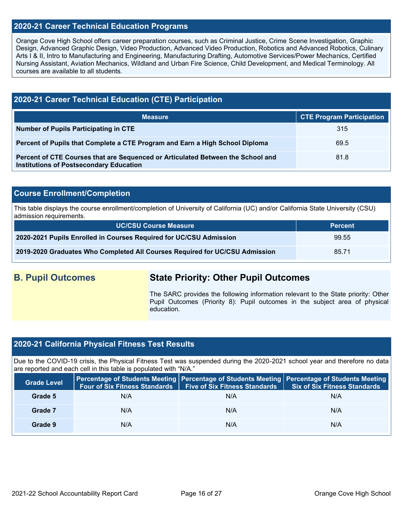## **2020-21 Career Technical Education Programs**

Orange Cove High School offers career preparation courses, such as Criminal Justice, Crime Scene Investigation, Graphic Design, Advanced Graphic Design, Video Production, Advanced Video Production, Robotics and Advanced Robotics, Culinary Arts I & II, Intro to Manufacturing and Engineering, Manufacturing Drafting, Automotive Services/Power Mechanics, Certified Nursing Assistant, Aviation Mechanics, Wildland and Urban Fire Science, Child Development, and Medical Terminology. All courses are available to all students.

## **2020-21 Career Technical Education (CTE) Participation**

| <b>Measure</b>                                                                                                                    | <b>CTE Program Participation</b> |
|-----------------------------------------------------------------------------------------------------------------------------------|----------------------------------|
| Number of Pupils Participating in CTE                                                                                             | 315                              |
| Percent of Pupils that Complete a CTE Program and Earn a High School Diploma                                                      | 69.5                             |
| Percent of CTE Courses that are Sequenced or Articulated Between the School and<br><b>Institutions of Postsecondary Education</b> | 81.8                             |

## **Course Enrollment/Completion**

This table displays the course enrollment/completion of University of California (UC) and/or California State University (CSU) admission requirements.

| <b>UC/CSU Course Measure</b>                                                | <b>Percent</b> |
|-----------------------------------------------------------------------------|----------------|
| 2020-2021 Pupils Enrolled in Courses Required for UC/CSU Admission          | 99.55          |
| 2019-2020 Graduates Who Completed All Courses Required for UC/CSU Admission | 85.71          |

## **B. Pupil Outcomes State Priority: Other Pupil Outcomes**

The SARC provides the following information relevant to the State priority: Other Pupil Outcomes (Priority 8): Pupil outcomes in the subject area of physical education.

## **2020-21 California Physical Fitness Test Results**

Due to the COVID-19 crisis, the Physical Fitness Test was suspended during the 2020-2021 school year and therefore no data are reported and each cell in this table is populated with "N/A."

| <b>Grade Level</b> | <b>Four of Six Fitness Standards</b> | Five of Six Fitness Standards | Percentage of Students Meeting   Percentage of Students Meeting   Percentage of Students Meeting<br><b>Six of Six Fitness Standards</b> |
|--------------------|--------------------------------------|-------------------------------|-----------------------------------------------------------------------------------------------------------------------------------------|
| Grade 5            | N/A                                  | N/A                           | N/A                                                                                                                                     |
| Grade 7            | N/A                                  | N/A                           | N/A                                                                                                                                     |
| Grade 9            | N/A                                  | N/A                           | N/A                                                                                                                                     |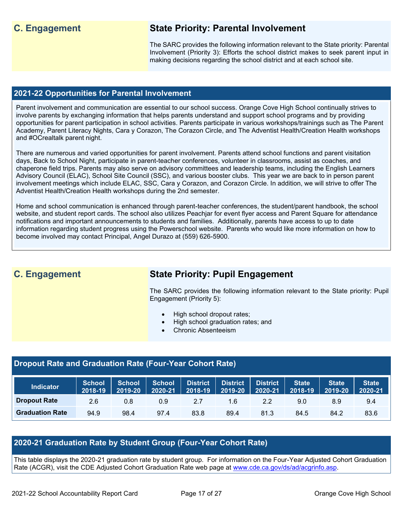## **C. Engagement State Priority: Parental Involvement**

The SARC provides the following information relevant to the State priority: Parental Involvement (Priority 3): Efforts the school district makes to seek parent input in making decisions regarding the school district and at each school site.

## **2021-22 Opportunities for Parental Involvement**

Parent involvement and communication are essential to our school success. Orange Cove High School continually strives to involve parents by exchanging information that helps parents understand and support school programs and by providing opportunities for parent participation in school activities. Parents participate in various workshops/trainings such as The Parent Academy, Parent Literacy Nights, Cara y Corazon, The Corazon Circle, and The Adventist Health/Creation Health workshops and #OCrealtalk parent night.

There are numerous and varied opportunities for parent involvement. Parents attend school functions and parent visitation days, Back to School Night, participate in parent-teacher conferences, volunteer in classrooms, assist as coaches, and chaperone field trips. Parents may also serve on advisory committees and leadership teams, including the English Learners Advisory Council (ELAC), School Site Council (SSC), and various booster clubs. This year we are back to in person parent involvement meetings which include ELAC, SSC, Cara y Corazon, and Corazon Circle. In addition, we will strive to offer The Adventist Health/Creation Health workshops during the 2nd semester.

Home and school communication is enhanced through parent-teacher conferences, the student/parent handbook, the school website, and student report cards. The school also utilizes Peachjar for event flyer access and Parent Square for attendance notifications and important announcements to students and families. Additionally, parents have access to up to date information regarding student progress using the Powerschool website. Parents who would like more information on how to become involved may contact Principal, Angel Durazo at (559) 626-5900.

## **C. Engagement State Priority: Pupil Engagement**

The SARC provides the following information relevant to the State priority: Pupil Engagement (Priority 5):

- High school dropout rates;
- High school graduation rates; and
- Chronic Absenteeism

## **Dropout Rate and Graduation Rate (Four-Year Cohort Rate)**

| <b>Indicator</b>       | <b>School</b><br>2018-19 | <b>School</b><br>2019-20 | <b>School</b><br>2020-21 | <b>District</b><br>2018-19 | <b>District</b><br>2019-20 | <b>District</b><br>2020-21 | State <sup>1</sup><br>2018-19 | <b>State</b><br>2019-20 | <b>State</b><br>2020-21 |
|------------------------|--------------------------|--------------------------|--------------------------|----------------------------|----------------------------|----------------------------|-------------------------------|-------------------------|-------------------------|
| <b>Dropout Rate</b>    | 2.6                      | 0.8                      | 0.9                      | 2.7                        | 1.6                        | 2.2                        | 9.0                           | 8.9                     | 9.4                     |
| <b>Graduation Rate</b> | 94.9                     | 98.4                     | 97.4                     | 83.8                       | 89.4                       | 81.3                       | 84.5                          | 84.2                    | 83.6                    |

## **2020-21 Graduation Rate by Student Group (Four-Year Cohort Rate)**

This table displays the 2020-21 graduation rate by student group. For information on the Four-Year Adjusted Cohort Graduation Rate (ACGR), visit the CDE Adjusted Cohort Graduation Rate web page at [www.cde.ca.gov/ds/ad/acgrinfo.asp.](http://www.cde.ca.gov/ds/ad/acgrinfo.asp)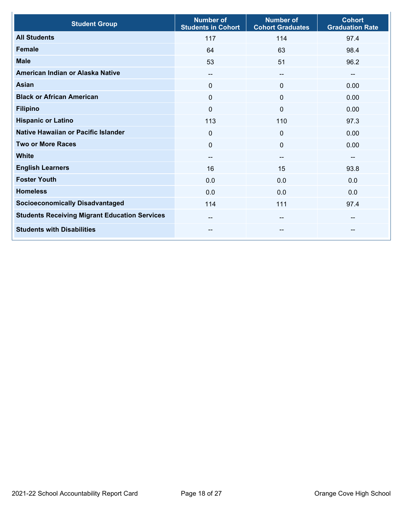| <b>Student Group</b>                                 | <b>Number of</b><br><b>Students in Cohort</b> | <b>Number of</b><br><b>Cohort Graduates</b> | <b>Cohort</b><br><b>Graduation Rate</b> |
|------------------------------------------------------|-----------------------------------------------|---------------------------------------------|-----------------------------------------|
| <b>All Students</b>                                  | 117                                           | 114                                         | 97.4                                    |
| <b>Female</b>                                        | 64                                            | 63                                          | 98.4                                    |
| <b>Male</b>                                          | 53                                            | 51                                          | 96.2                                    |
| American Indian or Alaska Native                     | --                                            | --                                          | --                                      |
| <b>Asian</b>                                         | $\Omega$                                      | $\mathbf{0}$                                | 0.00                                    |
| <b>Black or African American</b>                     | $\Omega$                                      | $\mathbf{0}$                                | 0.00                                    |
| <b>Filipino</b>                                      | $\Omega$                                      | $\Omega$                                    | 0.00                                    |
| <b>Hispanic or Latino</b>                            | 113                                           | 110                                         | 97.3                                    |
| Native Hawaiian or Pacific Islander                  | $\mathbf 0$                                   | $\mathbf 0$                                 | 0.00                                    |
| <b>Two or More Races</b>                             | $\mathbf{0}$                                  | $\mathbf 0$                                 | 0.00                                    |
| <b>White</b>                                         | --                                            | --                                          | $-$                                     |
| <b>English Learners</b>                              | 16                                            | 15                                          | 93.8                                    |
| <b>Foster Youth</b>                                  | 0.0                                           | 0.0                                         | 0.0                                     |
| <b>Homeless</b>                                      | 0.0                                           | 0.0                                         | 0.0                                     |
| <b>Socioeconomically Disadvantaged</b>               | 114                                           | 111                                         | 97.4                                    |
| <b>Students Receiving Migrant Education Services</b> | $- -$                                         | --                                          | --                                      |
| <b>Students with Disabilities</b>                    | --                                            | --                                          | --                                      |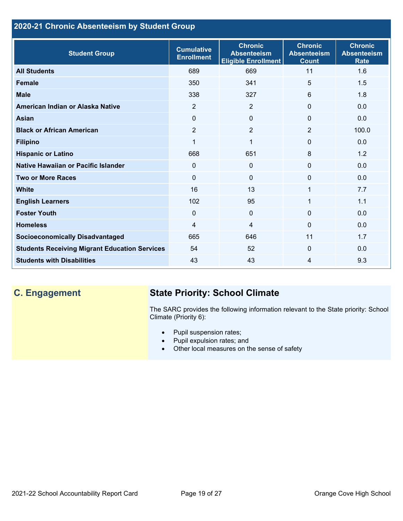## **2020-21 Chronic Absenteeism by Student Group**

| <b>Student Group</b>                                 | <b>Cumulative</b><br><b>Enrollment</b> | <b>Chronic</b><br><b>Absenteeism</b><br><b>Eligible Enrollment</b> | <b>Chronic</b><br><b>Absenteeism</b><br><b>Count</b> | <b>Chronic</b><br><b>Absenteeism</b><br><b>Rate</b> |
|------------------------------------------------------|----------------------------------------|--------------------------------------------------------------------|------------------------------------------------------|-----------------------------------------------------|
| <b>All Students</b>                                  | 689                                    | 669                                                                | 11                                                   | 1.6                                                 |
| <b>Female</b>                                        | 350                                    | 341                                                                | 5                                                    | 1.5                                                 |
| <b>Male</b>                                          | 338                                    | 327                                                                | 6                                                    | 1.8                                                 |
| American Indian or Alaska Native                     | 2                                      | 2                                                                  | $\mathbf{0}$                                         | 0.0                                                 |
| <b>Asian</b>                                         | $\Omega$                               | $\overline{0}$                                                     | $\mathbf{0}$                                         | 0.0                                                 |
| <b>Black or African American</b>                     | $\overline{2}$                         | $\overline{2}$                                                     | $\overline{2}$                                       | 100.0                                               |
| <b>Filipino</b>                                      | 1                                      | $\mathbf{1}$                                                       | $\mathbf{0}$                                         | 0.0                                                 |
| <b>Hispanic or Latino</b>                            | 668                                    | 651                                                                | 8                                                    | 1.2                                                 |
| Native Hawaiian or Pacific Islander                  | 0                                      | $\mathbf 0$                                                        | $\mathbf 0$                                          | 0.0                                                 |
| <b>Two or More Races</b>                             | $\Omega$                               | $\Omega$                                                           | $\mathbf{0}$                                         | 0.0                                                 |
| <b>White</b>                                         | 16                                     | 13                                                                 | 1                                                    | 7.7                                                 |
| <b>English Learners</b>                              | 102                                    | 95                                                                 | 1                                                    | 1.1                                                 |
| <b>Foster Youth</b>                                  | $\Omega$                               | $\mathbf{0}$                                                       | $\Omega$                                             | 0.0                                                 |
| <b>Homeless</b>                                      | 4                                      | 4                                                                  | $\Omega$                                             | 0.0                                                 |
| <b>Socioeconomically Disadvantaged</b>               | 665                                    | 646                                                                | 11                                                   | 1.7                                                 |
| <b>Students Receiving Migrant Education Services</b> | 54                                     | 52                                                                 | $\Omega$                                             | 0.0                                                 |
| <b>Students with Disabilities</b>                    | 43                                     | 43                                                                 | 4                                                    | 9.3                                                 |

# **C. Engagement State Priority: School Climate**

The SARC provides the following information relevant to the State priority: School Climate (Priority 6):

- Pupil suspension rates;
- Pupil expulsion rates; and
- Other local measures on the sense of safety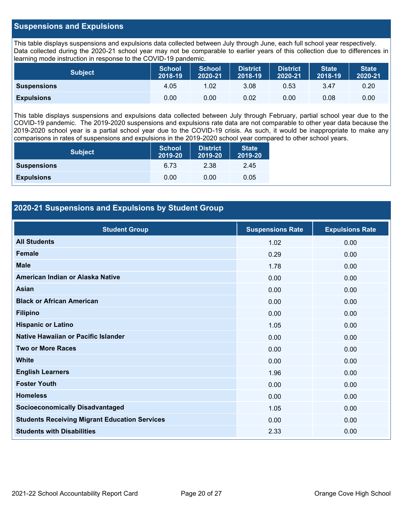## **Suspensions and Expulsions**

This table displays suspensions and expulsions data collected between July through June, each full school year respectively. Data collected during the 2020-21 school year may not be comparable to earlier years of this collection due to differences in learning mode instruction in response to the COVID-19 pandemic.

| <b>Subject</b>     | <b>School</b><br>2018-19 | <b>School</b><br>2020-21 | <b>District</b><br>2018-19 | <b>District</b><br>2020-21 | <b>State</b><br>2018-19 | <b>State</b><br>2020-21 |
|--------------------|--------------------------|--------------------------|----------------------------|----------------------------|-------------------------|-------------------------|
| <b>Suspensions</b> | 4.05                     | 1.02                     | 3.08                       | 0.53                       | 3.47                    | 0.20                    |
| <b>Expulsions</b>  | 0.00                     | 0.00                     | 0.02                       | 0.00                       | 0.08                    | 0.00                    |

This table displays suspensions and expulsions data collected between July through February, partial school year due to the COVID-19 pandemic. The 2019-2020 suspensions and expulsions rate data are not comparable to other year data because the 2019-2020 school year is a partial school year due to the COVID-19 crisis. As such, it would be inappropriate to make any comparisons in rates of suspensions and expulsions in the 2019-2020 school year compared to other school years.

| <b>Subject</b>     | School<br>2019-20 | <b>District</b><br>2019-20 | <b>State</b><br>2019-20 |
|--------------------|-------------------|----------------------------|-------------------------|
| <b>Suspensions</b> | 6.73              | 2.38                       | 2.45                    |
| <b>Expulsions</b>  | 0.00              | 0.00                       | 0.05                    |

## **2020-21 Suspensions and Expulsions by Student Group**

| <b>Student Group</b>                                 | <b>Suspensions Rate</b> | <b>Expulsions Rate</b> |
|------------------------------------------------------|-------------------------|------------------------|
| <b>All Students</b>                                  | 1.02                    | 0.00                   |
| <b>Female</b>                                        | 0.29                    | 0.00                   |
| <b>Male</b>                                          | 1.78                    | 0.00                   |
| American Indian or Alaska Native                     | 0.00                    | 0.00                   |
| <b>Asian</b>                                         | 0.00                    | 0.00                   |
| <b>Black or African American</b>                     | 0.00                    | 0.00                   |
| <b>Filipino</b>                                      | 0.00                    | 0.00                   |
| <b>Hispanic or Latino</b>                            | 1.05                    | 0.00                   |
| Native Hawaiian or Pacific Islander                  | 0.00                    | 0.00                   |
| <b>Two or More Races</b>                             | 0.00                    | 0.00                   |
| <b>White</b>                                         | 0.00                    | 0.00                   |
| <b>English Learners</b>                              | 1.96                    | 0.00                   |
| <b>Foster Youth</b>                                  | 0.00                    | 0.00                   |
| <b>Homeless</b>                                      | 0.00                    | 0.00                   |
| <b>Socioeconomically Disadvantaged</b>               | 1.05                    | 0.00                   |
| <b>Students Receiving Migrant Education Services</b> | 0.00                    | 0.00                   |
| <b>Students with Disabilities</b>                    | 2.33                    | 0.00                   |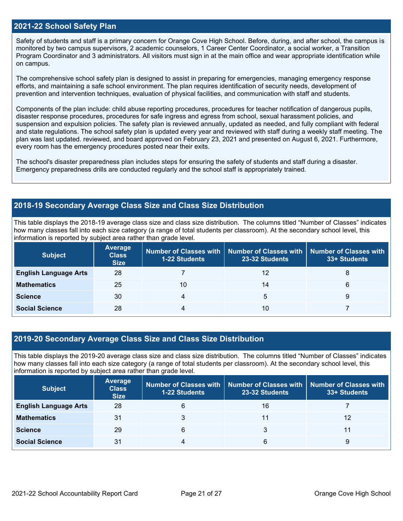## **2021-22 School Safety Plan**

Safety of students and staff is a primary concern for Orange Cove High School. Before, during, and after school, the campus is monitored by two campus supervisors, 2 academic counselors, 1 Career Center Coordinator, a social worker, a Transition Program Coordinator and 3 administrators. All visitors must sign in at the main office and wear appropriate identification while on campus.

The comprehensive school safety plan is designed to assist in preparing for emergencies, managing emergency response efforts, and maintaining a safe school environment. The plan requires identification of security needs, development of prevention and intervention techniques, evaluation of physical facilities, and communication with staff and students.

Components of the plan include: child abuse reporting procedures, procedures for teacher notification of dangerous pupils, disaster response procedures, procedures for safe ingress and egress from school, sexual harassment policies, and suspension and expulsion policies. The safety plan is reviewed annually, updated as needed, and fully compliant with federal and state regulations. The school safety plan is updated every year and reviewed with staff during a weekly staff meeting. The plan was last updated. reviewed, and board approved on February 23, 2021 and presented on August 6, 2021. Furthermore, every room has the emergency procedures posted near their exits.

The school's disaster preparedness plan includes steps for ensuring the safety of students and staff during a disaster. Emergency preparedness drills are conducted regularly and the school staff is appropriately trained.

### **2018-19 Secondary Average Class Size and Class Size Distribution**

This table displays the 2018-19 average class size and class size distribution. The columns titled "Number of Classes" indicates how many classes fall into each size category (a range of total students per classroom). At the secondary school level, this information is reported by subject area rather than grade level.

| <b>Subject</b>               | <b>Average</b><br><b>Class</b><br><b>Size</b> | <b>1-22 Students</b> | Number of Classes with   Number of Classes with<br>23-32 Students | Number of Classes with<br>33+ Students |
|------------------------------|-----------------------------------------------|----------------------|-------------------------------------------------------------------|----------------------------------------|
| <b>English Language Arts</b> | 28                                            |                      | 12                                                                | 8                                      |
| <b>Mathematics</b>           | 25                                            | 10                   | 14                                                                | 6                                      |
| <b>Science</b>               | 30                                            |                      | 5                                                                 |                                        |
| <b>Social Science</b>        | 28                                            | 4                    | 10                                                                |                                        |

### **2019-20 Secondary Average Class Size and Class Size Distribution**

This table displays the 2019-20 average class size and class size distribution. The columns titled "Number of Classes" indicates how many classes fall into each size category (a range of total students per classroom). At the secondary school level, this information is reported by subject area rather than grade level.

| <b>Subject</b>               | <b>Average</b><br><b>Class</b><br><b>Size</b> | <b>1-22 Students</b> | Number of Classes with   Number of Classes with   Number of Classes with<br>23-32 Students | 33+ Students |
|------------------------------|-----------------------------------------------|----------------------|--------------------------------------------------------------------------------------------|--------------|
| <b>English Language Arts</b> | 28                                            | 6                    | 16                                                                                         |              |
| <b>Mathematics</b>           | 31                                            |                      | 11                                                                                         | 12           |
| <b>Science</b>               | 29                                            | 6                    |                                                                                            | 11           |
| <b>Social Science</b>        | 31                                            | 4                    | 6                                                                                          | 9            |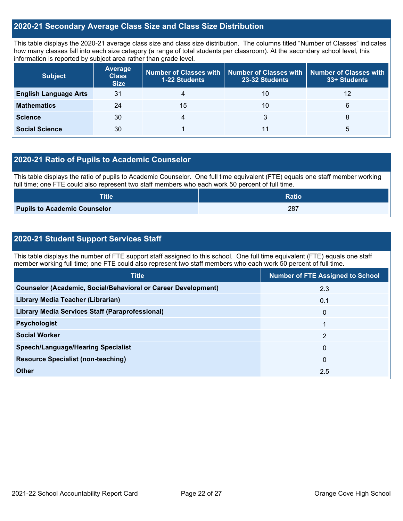## **2020-21 Secondary Average Class Size and Class Size Distribution**

This table displays the 2020-21 average class size and class size distribution. The columns titled "Number of Classes" indicates how many classes fall into each size category (a range of total students per classroom). At the secondary school level, this information is reported by subject area rather than grade level.

| <b>Subject</b>               | <b>Average</b><br><b>Class</b><br><b>Size</b> | <b>1-22 Students</b> | Number of Classes with   Number of Classes with  <br>23-32 Students | Number of Classes with<br>33+ Students |
|------------------------------|-----------------------------------------------|----------------------|---------------------------------------------------------------------|----------------------------------------|
| <b>English Language Arts</b> | 31                                            | 4                    | 10                                                                  | 12                                     |
| <b>Mathematics</b>           | 24                                            | 15                   | 10                                                                  | 6                                      |
| <b>Science</b>               | 30                                            | 4                    | 3                                                                   | 8                                      |
| <b>Social Science</b>        | 30                                            |                      | 11                                                                  | b                                      |

## **2020-21 Ratio of Pupils to Academic Counselor**

This table displays the ratio of pupils to Academic Counselor. One full time equivalent (FTE) equals one staff member working full time; one FTE could also represent two staff members who each work 50 percent of full time.

| <b>Title</b>                        | <b>Ratio</b> |
|-------------------------------------|--------------|
| <b>Pupils to Academic Counselor</b> | 287          |

## **2020-21 Student Support Services Staff**

This table displays the number of FTE support staff assigned to this school. One full time equivalent (FTE) equals one staff member working full time; one FTE could also represent two staff members who each work 50 percent of full time.

| <b>Title</b>                                                         | <b>Number of FTE Assigned to School</b> |
|----------------------------------------------------------------------|-----------------------------------------|
| <b>Counselor (Academic, Social/Behavioral or Career Development)</b> | 2.3                                     |
| Library Media Teacher (Librarian)                                    | 0.1                                     |
| <b>Library Media Services Staff (Paraprofessional)</b>               | $\mathbf{0}$                            |
| <b>Psychologist</b>                                                  |                                         |
| <b>Social Worker</b>                                                 | 2                                       |
| <b>Speech/Language/Hearing Specialist</b>                            | $\mathbf{0}$                            |
| <b>Resource Specialist (non-teaching)</b>                            | $\mathbf{0}$                            |
| Other                                                                | 2.5                                     |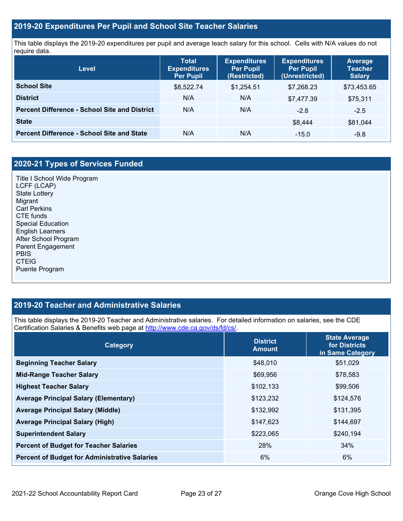## **2019-20 Expenditures Per Pupil and School Site Teacher Salaries**

This table displays the 2019-20 expenditures per pupil and average teach salary for this school. Cells with N/A values do not require data.

| Level                                                | <b>Total</b><br><b>Expenditures</b><br><b>Per Pupil</b> | <b>Expenditures</b><br><b>Per Pupil</b><br>(Restricted) | <b>Expenditures</b><br><b>Per Pupil</b><br>(Unrestricted) | <b>Average</b><br><b>Teacher</b><br><b>Salary</b> |
|------------------------------------------------------|---------------------------------------------------------|---------------------------------------------------------|-----------------------------------------------------------|---------------------------------------------------|
| <b>School Site</b>                                   | \$8,522.74                                              | \$1,254.51                                              | \$7.268.23                                                | \$73,453.65                                       |
| <b>District</b>                                      | N/A                                                     | N/A                                                     | \$7,477.39                                                | \$75,311                                          |
| <b>Percent Difference - School Site and District</b> | N/A                                                     | N/A                                                     | $-2.8$                                                    | $-2.5$                                            |
| <b>State</b>                                         |                                                         |                                                         | \$8.444                                                   | \$81,044                                          |
| <b>Percent Difference - School Site and State</b>    | N/A                                                     | N/A                                                     | $-15.0$                                                   | $-9.8$                                            |

## **2020-21 Types of Services Funded**

Title I School Wide Program LCFF (LCAP) State Lottery Migrant Carl Perkins CTE funds Special Education English Learners After School Program Parent Engagement PBIS CTEIG Puente Program

## **2019-20 Teacher and Administrative Salaries**

This table displays the 2019-20 Teacher and Administrative salaries. For detailed information on salaries, see the CDE Certification Salaries & Benefits web page at [http://www.cde.ca.gov/ds/fd/cs/.](http://www.cde.ca.gov/ds/fd/cs/)

| Category                                             | <b>District</b><br><b>Amount</b> | <b>State Average</b><br>for Districts<br>in Same Category |
|------------------------------------------------------|----------------------------------|-----------------------------------------------------------|
| <b>Beginning Teacher Salary</b>                      | \$48,010                         | \$51,029                                                  |
| <b>Mid-Range Teacher Salary</b>                      | \$69,956                         | \$78,583                                                  |
| <b>Highest Teacher Salary</b>                        | \$102,133                        | \$99,506                                                  |
| <b>Average Principal Salary (Elementary)</b>         | \$123,232                        | \$124,576                                                 |
| <b>Average Principal Salary (Middle)</b>             | \$132,992                        | \$131,395                                                 |
| <b>Average Principal Salary (High)</b>               | \$147,623                        | \$144,697                                                 |
| <b>Superintendent Salary</b>                         | \$223,065                        | \$240,194                                                 |
| <b>Percent of Budget for Teacher Salaries</b>        | 28%                              | 34%                                                       |
| <b>Percent of Budget for Administrative Salaries</b> | 6%                               | 6%                                                        |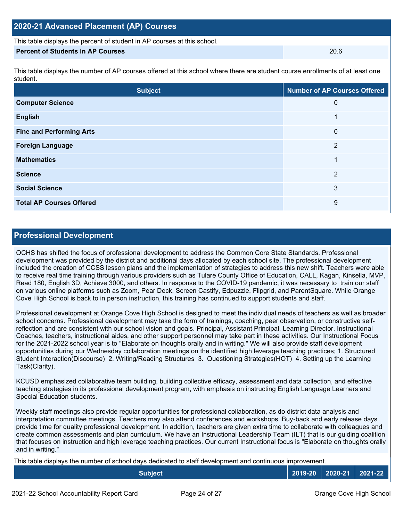| 2020-21 Advanced Placement (AP) Courses |  |  |  |  |  |
|-----------------------------------------|--|--|--|--|--|
|-----------------------------------------|--|--|--|--|--|

This table displays the percent of student in AP courses at this school.

### **Percent of Students in AP Courses** 20.6

This table displays the number of AP courses offered at this school where there are student course enrollments of at least one student.

| <b>Subject</b>                  | <b>Number of AP Courses Offered</b> |
|---------------------------------|-------------------------------------|
| <b>Computer Science</b>         | 0                                   |
| <b>English</b>                  | и                                   |
| <b>Fine and Performing Arts</b> | 0                                   |
| <b>Foreign Language</b>         | $\overline{2}$                      |
| <b>Mathematics</b>              | ◢                                   |
| <b>Science</b>                  | 2                                   |
| <b>Social Science</b>           | 3                                   |
| <b>Total AP Courses Offered</b> | 9                                   |

## **Professional Development**

OCHS has shifted the focus of professional development to address the Common Core State Standards. Professional development was provided by the district and additional days allocated by each school site. The professional development included the creation of CCSS lesson plans and the implementation of strategies to address this new shift. Teachers were able to receive real time training through various providers such as Tulare County Office of Education, CALL, Kagan, Kinsella, MVP, Read 180, English 3D, Achieve 3000, and others. In response to the COVID-19 pandemic, it was necessary to train our staff on various online platforms such as Zoom, Pear Deck, Screen Castify, Edpuzzle, Flipgrid, and ParentSquare. While Orange Cove High School is back to in person instruction, this training has continued to support students and staff.

Professional development at Orange Cove High School is designed to meet the individual needs of teachers as well as broader school concerns. Professional development may take the form of trainings, coaching, peer observation, or constructive selfreflection and are consistent with our school vision and goals. Principal, Assistant Principal, Learning Director, Instructional Coaches, teachers, instructional aides, and other support personnel may take part in these activities. Our Instructional Focus for the 2021-2022 school year is to "Elaborate on thoughts orally and in writing." We will also provide staff development opportunities during our Wednesday collaboration meetings on the identified high leverage teaching practices; 1. Structured Student Interaction(Discourse) 2. Writing/Reading Structures 3. Questioning Strategies(HOT) 4. Setting up the Learning Task(Clarity).

KCUSD emphasized collaborative team building, building collective efficacy, assessment and data collection, and effective teaching strategies in its professional development program, with emphasis on instructing English Language Learners and Special Education students.

Weekly staff meetings also provide regular opportunities for professional collaboration, as do district data analysis and interpretation committee meetings. Teachers may also attend conferences and workshops. Buy-back and early release days provide time for quality professional development. In addition, teachers are given extra time to collaborate with colleagues and create common assessments and plan curriculum. We have an Instructional Leadership Team (ILT) that is our guiding coalition that focuses on instruction and high leverage teaching practices. Our current Instructional focus is "Elaborate on thoughts orally and in writing."

This table displays the number of school days dedicated to staff development and continuous improvement.

| Subject |  | │ 2019-20 │ 2020-21 │ 2021-22 │ |  |
|---------|--|---------------------------------|--|
|---------|--|---------------------------------|--|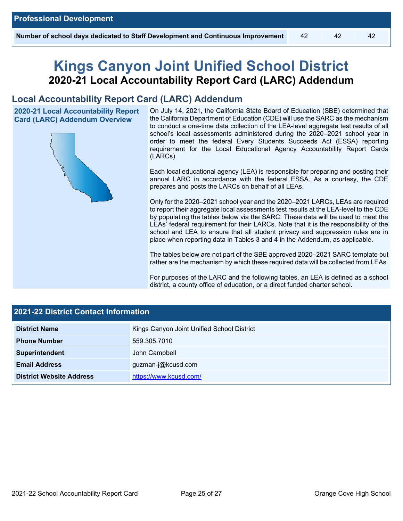# **Kings Canyon Joint Unified School District 2020-21 Local Accountability Report Card (LARC) Addendum**

## **Local Accountability Report Card (LARC) Addendum**

**2020-21 Local Accountability Report Card (LARC) Addendum Overview**



On July 14, 2021, the California State Board of Education (SBE) determined that the California Department of Education (CDE) will use the SARC as the mechanism to conduct a one-time data collection of the LEA-level aggregate test results of all school's local assessments administered during the 2020–2021 school year in order to meet the federal Every Students Succeeds Act (ESSA) reporting requirement for the Local Educational Agency Accountability Report Cards (LARCs).

Each local educational agency (LEA) is responsible for preparing and posting their annual LARC in accordance with the federal ESSA. As a courtesy, the CDE prepares and posts the LARCs on behalf of all LEAs.

Only for the 2020–2021 school year and the 2020–2021 LARCs, LEAs are required to report their aggregate local assessments test results at the LEA-level to the CDE by populating the tables below via the SARC. These data will be used to meet the LEAs' federal requirement for their LARCs. Note that it is the responsibility of the school and LEA to ensure that all student privacy and suppression rules are in place when reporting data in Tables 3 and 4 in the Addendum, as applicable.

The tables below are not part of the SBE approved 2020–2021 SARC template but rather are the mechanism by which these required data will be collected from LEAs.

For purposes of the LARC and the following tables, an LEA is defined as a school district, a county office of education, or a direct funded charter school.

| <b>2021-22 District Contact Information</b> |                                            |  |  |  |
|---------------------------------------------|--------------------------------------------|--|--|--|
| <b>District Name</b>                        | Kings Canyon Joint Unified School District |  |  |  |
| <b>Phone Number</b>                         | 559.305.7010                               |  |  |  |
| Superintendent                              | John Campbell                              |  |  |  |
| <b>Email Address</b>                        | guzman-j@kcusd.com                         |  |  |  |
| <b>District Website Address</b>             | https://www.kcusd.com/                     |  |  |  |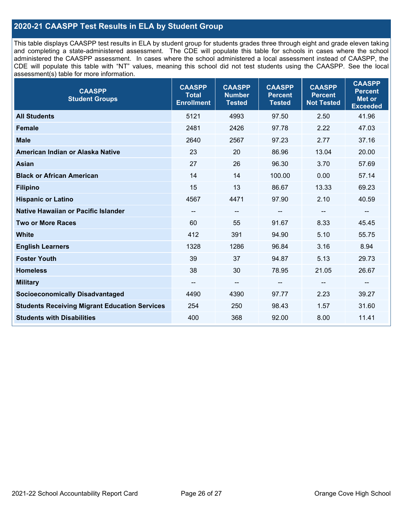## **2020-21 CAASPP Test Results in ELA by Student Group**

This table displays CAASPP test results in ELA by student group for students grades three through eight and grade eleven taking and completing a state-administered assessment. The CDE will populate this table for schools in cases where the school administered the CAASPP assessment. In cases where the school administered a local assessment instead of CAASPP, the CDE will populate this table with "NT" values, meaning this school did not test students using the CAASPP. See the local assessment(s) table for more information.

| <b>CAASPP</b><br><b>Student Groups</b>               | <b>CAASPP</b><br><b>Total</b><br><b>Enrollment</b> | <b>CAASPP</b><br><b>Number</b><br><b>Tested</b> | <b>CAASPP</b><br><b>Percent</b><br><b>Tested</b> | <b>CAASPP</b><br><b>Percent</b><br><b>Not Tested</b> | <b>CAASPP</b><br><b>Percent</b><br><b>Met or</b><br><b>Exceeded</b> |
|------------------------------------------------------|----------------------------------------------------|-------------------------------------------------|--------------------------------------------------|------------------------------------------------------|---------------------------------------------------------------------|
| <b>All Students</b>                                  | 5121                                               | 4993                                            | 97.50                                            | 2.50                                                 | 41.96                                                               |
| <b>Female</b>                                        | 2481                                               | 2426                                            | 97.78                                            | 2.22                                                 | 47.03                                                               |
| <b>Male</b>                                          | 2640                                               | 2567                                            | 97.23                                            | 2.77                                                 | 37.16                                                               |
| American Indian or Alaska Native                     | 23                                                 | 20                                              | 86.96                                            | 13.04                                                | 20.00                                                               |
| <b>Asian</b>                                         | 27                                                 | 26                                              | 96.30                                            | 3.70                                                 | 57.69                                                               |
| <b>Black or African American</b>                     | 14                                                 | 14                                              | 100.00                                           | 0.00                                                 | 57.14                                                               |
| <b>Filipino</b>                                      | 15                                                 | 13                                              | 86.67                                            | 13.33                                                | 69.23                                                               |
| <b>Hispanic or Latino</b>                            | 4567                                               | 4471                                            | 97.90                                            | 2.10                                                 | 40.59                                                               |
| <b>Native Hawaiian or Pacific Islander</b>           | --                                                 | $\overline{\phantom{a}}$                        | --                                               | $\overline{\phantom{a}}$                             | --                                                                  |
| <b>Two or More Races</b>                             | 60                                                 | 55                                              | 91.67                                            | 8.33                                                 | 45.45                                                               |
| <b>White</b>                                         | 412                                                | 391                                             | 94.90                                            | 5.10                                                 | 55.75                                                               |
| <b>English Learners</b>                              | 1328                                               | 1286                                            | 96.84                                            | 3.16                                                 | 8.94                                                                |
| <b>Foster Youth</b>                                  | 39                                                 | 37                                              | 94.87                                            | 5.13                                                 | 29.73                                                               |
| <b>Homeless</b>                                      | 38                                                 | 30                                              | 78.95                                            | 21.05                                                | 26.67                                                               |
| <b>Military</b>                                      | --                                                 | --                                              | --                                               | --                                                   | $\overline{\phantom{m}}$                                            |
| <b>Socioeconomically Disadvantaged</b>               | 4490                                               | 4390                                            | 97.77                                            | 2.23                                                 | 39.27                                                               |
| <b>Students Receiving Migrant Education Services</b> | 254                                                | 250                                             | 98.43                                            | 1.57                                                 | 31.60                                                               |
| <b>Students with Disabilities</b>                    | 400                                                | 368                                             | 92.00                                            | 8.00                                                 | 11.41                                                               |